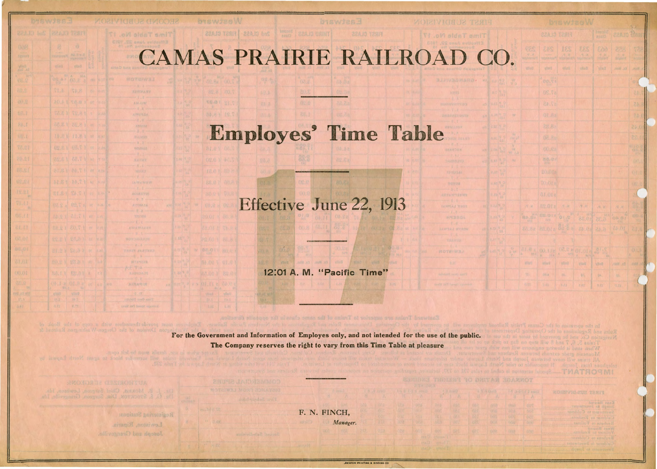## CAMAS PRAIRIE RAILROAD CO.

**MISWICS.** 

**BEAJO TERIT** 

**MOISLAIGH DS JESH** 

**MOTELWS** 

**Time Table No. 17** 

**B**rswjes W

**BP Ball** 

TE.B1 VI

34.8 1 19.

22AJO T2913 32AJO 6nS

## Employes' Time Table

## Effective June 22, 1913

12:01 A. M. "Pacific Time"

|                                      |                    |                        | <b>D'EWISON</b>             |                            |                                                                       |              | $\zeta$            |
|--------------------------------------|--------------------|------------------------|-----------------------------|----------------------------|-----------------------------------------------------------------------|--------------|--------------------|
|                                      |                    |                        | FIRST CLASS                 | bnoo 2<br>asult)           | 22A 10                                                                | 输出           |                    |
|                                      | <b>RES</b>         | 243<br>www.dought      | <b>TES</b><br>$\frac{1}{2}$ | <b>EES</b><br>$7 - 8$      | 866<br>$\frac{\partial}{\partial t} \frac{\partial}{\partial \theta}$ | 229<br>10.14 | TŘ<br><b>Bylad</b> |
| 작적                                   | <b>VOID</b>        | $\frac{1}{2}$ (16) (1) | ethell                      | ella 0                     | 'allan                                                                | Ex. Mon.     |                    |
| y.                                   |                    | 00.51                  |                             |                            |                                                                       |              | O <sub>1</sub>     |
|                                      |                    | 05.75                  |                             |                            |                                                                       |              | č                  |
|                                      |                    | 37.45                  |                             |                            |                                                                       |              | 83                 |
| $\mathcal{U}$                        |                    | 01.8a                  |                             |                            |                                                                       |              | <b>CA</b>          |
|                                      |                    | 82.88                  |                             |                            |                                                                       |              | 0.45               |
|                                      |                    | 02.8L                  |                             |                            |                                                                       |              | 22.1               |
| <b>Sandar</b>                        |                    | 00.62                  |                             |                            |                                                                       |              | $\frac{1}{10}$     |
| $w_i$                                |                    | 25.02.02.0             |                             |                            |                                                                       |              | ON.                |
|                                      |                    | 20.0fz                 |                             |                            |                                                                       |              | 013                |
|                                      |                    | TO Of a                |                             |                            |                                                                       |              | <b>AR</b>          |
|                                      |                    | <b>BLOLE</b>           |                             |                            |                                                                       |              |                    |
|                                      | 四期                 | 88.012                 | $\sqrt{2}$ , $10$           | $\mathcal{A}$ .            | 19 K                                                                  | 原环           | ā                  |
|                                      | 80.80              | <b>EB.014</b>          | 01.5                        |                            | <b>PEND</b>                                                           | os of        |                    |
|                                      | 85.8e              | Pas.Ota                | 3. 3 6                      | 81.02                      | 6.45                                                                  | 04.01        | 21.6               |
|                                      |                    |                        |                             |                            |                                                                       |              |                    |
| $\frac{\partial}{\partial \nu} \psi$ | $\frac{1}{\alpha}$ | $00,$ ( ) z            |                             | $^{510,10}_{\circ}$ s 2.50 | $\frac{24}{100}$                                                      |              | 00.1               |
|                                      | 691871             | $+110/1$               | diam.                       | Time                       | WieG                                                                  | Fx Mon.      | <i><b>Holl</b></i> |
|                                      | TS.                | 00/6                   | 06.                         | SE.                        | <b>DF.</b>                                                            | htt.         |                    |
|                                      | 2. 空气              | <b>BAKE</b>            | (8.81)                      | 19.3                       | 0.01                                                                  | 0.24         | П                  |

**MATRORMI** 

| Library L. Lefferd, The<br>а | $P_1$ | KOLETVICHEUR TENT                              |
|------------------------------|-------|------------------------------------------------|
| 13341                        | OOT   | Early Coles Pain 31<br>Tunesday to kincern and |
| 初作品                          | 石心区   | Swerpers to Colders                            |
| 331350                       | OZU   | Culture to Kethenal and property               |
| 131368                       | DPR!  | También Tambié V et Angelus X                  |
| <b>A 11 363</b>              | DAR.  | anual JasW                                     |
|                              |       | Reubenwin Luideste.                            |
|                              |       | Culturation Sycamore, Lander and               |
|                              |       | Susannochum LOBEL OF BINNINGS                  |

For the Government and Information of Employes only, and not intended for the use of the public. The Company reserves the right to vary from this Time Table at pleasure

Registerang Stations:

i .ovi sidaT smi

**AB FRANT** 

**N H NIGROP** 

 $0.7$ ANTONASA  $-11.8 -$ 

tage towed Per Me

群

08 - 08.8 a

14.8 1 11.8 1 or la

10 17.44 18.14  $\rightarrow$   $\uparrow$  7  $\uparrow$  8.12

58.1 A FO. 1 1 2

Lewiston, Riparia. Joseph and Grangeville. F. N. FINCH, *Manager .* 

Tire! Subudividual

Second Sch-division

.EWISTON PRINTING A BINOING CO